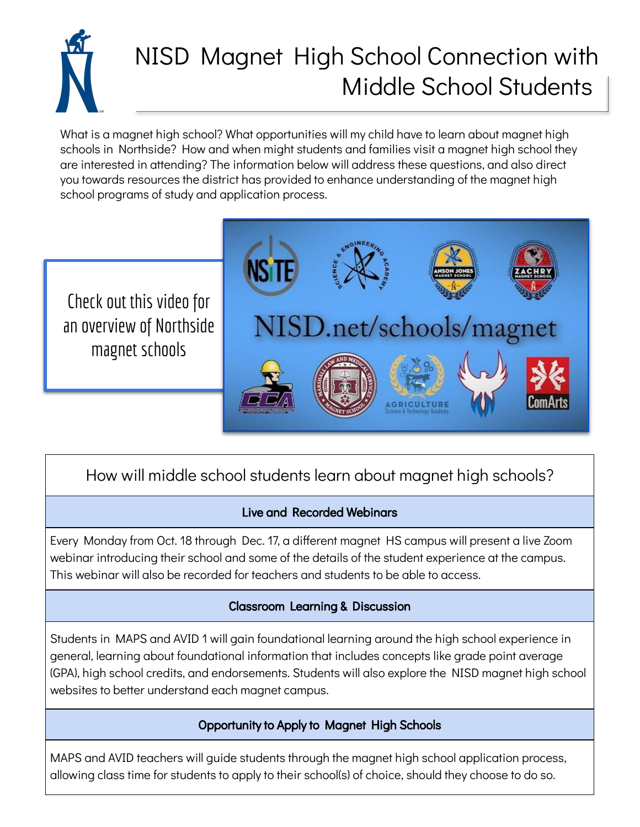

# NISD Magnet High School Connection with Middle School Students

What is a magnet high school? What opportunities will my child have to learn about magnet high schools in Northside? How and when might students and families visit a magnet high school they are interested in attending? The information below will address these questions, and also direct you towards resources the district has provided to enhance understanding of the magnet high school programs of study and application process.

Check out this video for an overview of Northside magnet schools



## How will middle school students learn about magnet high schools?

#### Live and Recorded Webinars

Every Monday from Oct. 18 through Dec. 17, a different magnet HS campus will present a live Zoom webinar introducing their school and some of the details of the student experience at the campus. This webinar will also be recorded for teachers and students to be able to access.

#### Classroom Learning & Discussion

Students in MAPS and AVID 1 will gain foundational learning around the high school experience in general, learning about foundational information that includes concepts like grade point average (GPA), high school credits, and endorsements. Students will also explore the NISD magnet high school websites to better understand each magnet campus.

#### Opportunity to Apply to Magnet High Schools

MAPS and AVID teachers will guide students through the magnet high school application process, allowing class time for students to apply to their school(s) of choice, should they choose to do so.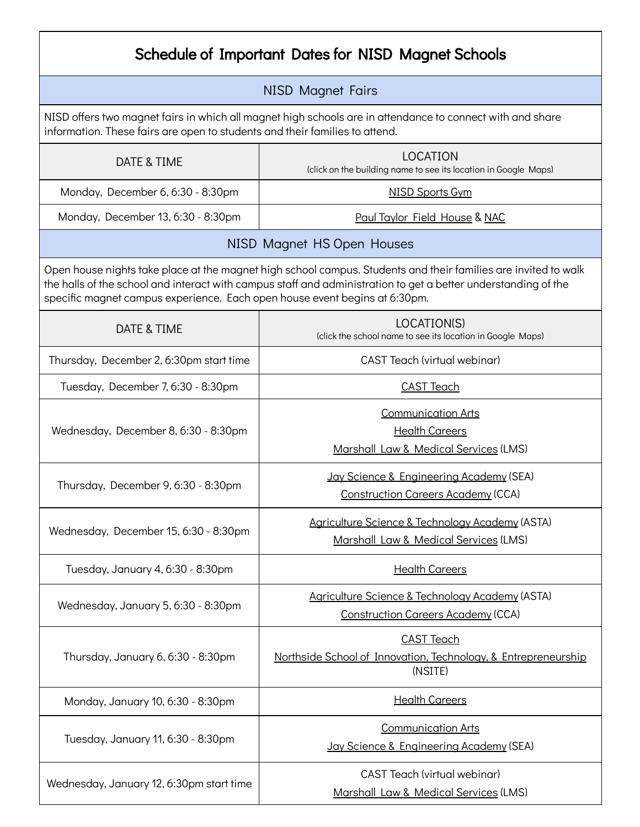| Schedule of Important Dates for NISD Magnet Schools                                                                                                                                                                                                                                                            |                                                                                                |  |
|----------------------------------------------------------------------------------------------------------------------------------------------------------------------------------------------------------------------------------------------------------------------------------------------------------------|------------------------------------------------------------------------------------------------|--|
| <b>NISD Magnet Fairs</b>                                                                                                                                                                                                                                                                                       |                                                                                                |  |
| NISD offers two magnet fairs in which all magnet high schools are in attendance to connect with and share<br>information. These fairs are open to students and their families to attend.                                                                                                                       |                                                                                                |  |
| DATE & TIME                                                                                                                                                                                                                                                                                                    | <b>LOCATION</b><br>(click on the building name to see its location in Google Maps)             |  |
| Monday, December 6, 6:30 - 8:30pm                                                                                                                                                                                                                                                                              | <b>NISD Sports Gym</b>                                                                         |  |
| Monday, December 13, 6:30 - 8:30pm                                                                                                                                                                                                                                                                             | <b>Paul Taylor Field House &amp; NAC</b>                                                       |  |
| NISD Magnet HS Open Houses                                                                                                                                                                                                                                                                                     |                                                                                                |  |
| Open house nights take place at the magnet high school campus. Students and their families are invited to walk<br>the halls of the school and interact with campus staff and administration to get a better understanding of the<br>specific magnet campus experience. Each open house event begins at 6:30pm. |                                                                                                |  |
| DATE & TIME                                                                                                                                                                                                                                                                                                    | LOCATION(S)<br>(click the school name to see its location in Google Maps)                      |  |
| Thursday, December 2, 6:30pm start time                                                                                                                                                                                                                                                                        | CAST Teach (virtual webinar)                                                                   |  |
| Tuesday, December 7, 6:30 - 8:30pm                                                                                                                                                                                                                                                                             | <b>CAST Teach</b>                                                                              |  |
| Wednesday, December 8, 6:30 - 8:30pm                                                                                                                                                                                                                                                                           | <b>Communication Arts</b><br><b>Health Careers</b><br>Marshall Law & Medical Services (LMS)    |  |
| Thursday, December 9, 6:30 - 8:30pm                                                                                                                                                                                                                                                                            | Jay Science & Engineering Academy (SEA)<br><b>Construction Careers Academy (CCA)</b>           |  |
| Wednesday, December 15, 6:30 - 8:30pm                                                                                                                                                                                                                                                                          | Agriculture Science & Technology Academy (ASTA)<br>Marshall Law & Medical Services (LMS)       |  |
| Tuesday, January 4, 6:30 - 8:30pm                                                                                                                                                                                                                                                                              | <b>Health Careers</b>                                                                          |  |
| Wednesday, January 5, 6:30 - 8:30pm                                                                                                                                                                                                                                                                            | Agriculture Science & Technology Academy (ASTA)<br><b>Construction Careers Academy (CCA)</b>   |  |
| Thursday, January 6, 6:30 - 8:30pm                                                                                                                                                                                                                                                                             | <b>CAST Teach</b><br>Northside School of Innovation, Technology, & Entrepreneurship<br>(NSITE) |  |
| Monday, January 10, 6:30 - 8:30pm                                                                                                                                                                                                                                                                              | <b>Health Careers</b>                                                                          |  |
| Tuesday, January 11, 6:30 - 8:30pm                                                                                                                                                                                                                                                                             | <b>Communication Arts</b><br>Jay Science & Engineering Academy (SEA)                           |  |
| Wednesday, January 12, 6:30pm start time                                                                                                                                                                                                                                                                       | CAST Teach (virtual webinar)<br>Marshall Law & Medical Services (LMS)                          |  |